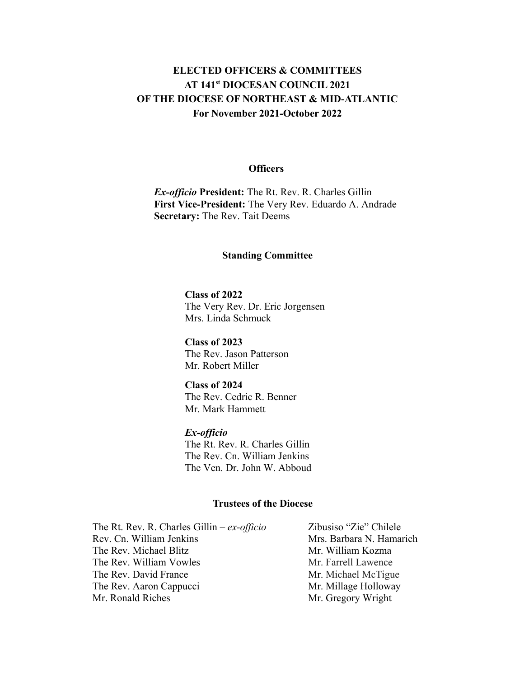# **ELECTED OFFICERS & COMMITTEES AT 141st DIOCESAN COUNCIL 2021 OF THE DIOCESE OF NORTHEAST & MID-ATLANTIC For November 2021-October 2022**

### **Officers**

*Ex-officio* **President:** The Rt. Rev. R. Charles Gillin **First Vice-President:** The Very Rev. Eduardo A. Andrade **Secretary:** The Rev. Tait Deems

#### **Standing Committee**

**Class of 2022** The Very Rev. Dr. Eric Jorgensen Mrs. Linda Schmuck

**Class of 2023** The Rev. Jason Patterson Mr. Robert Miller

### **Class of 2024**

The Rev. Cedric R. Benner Mr. Mark Hammett

## *Ex-officio*

The Rt. Rev. R. Charles Gillin The Rev. Cn. William Jenkins The Ven. Dr. John W. Abboud

### **Trustees of the Diocese**

The Rt. Rev. R. Charles Gillin – *ex-officio* Zibusiso "Zie" Chilele Rev. Cn. William Jenkins Mrs. Barbara N. Hamarich The Rev. Michael Blitz Mr. William Kozma The Rev. William Vowles Mr. Farrell Lawence The Rev. David France Mr. Michael McTigue The Rev. Aaron Cappucci Mr. Millage Holloway Mr. Ronald Riches Mr. Gregory Wright